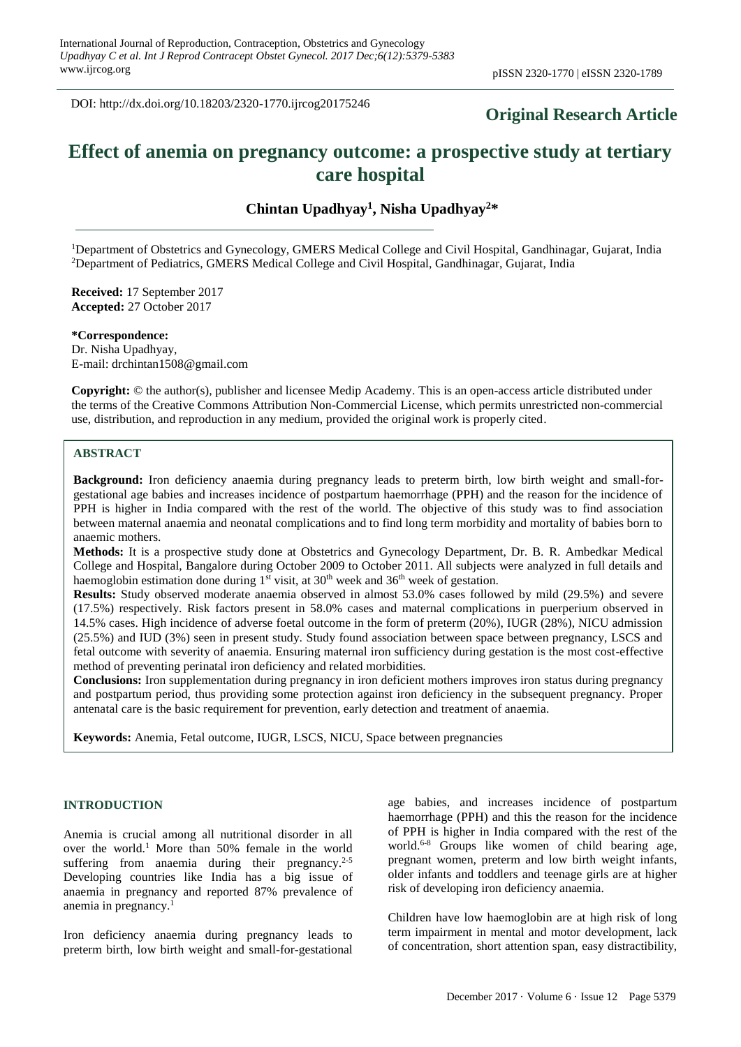DOI: http://dx.doi.org/10.18203/2320-1770.ijrcog20175246

# **Original Research Article**

# **Effect of anemia on pregnancy outcome: a prospective study at tertiary care hospital**

**Chintan Upadhyay<sup>1</sup> , Nisha Upadhyay<sup>2</sup>\***

<sup>1</sup>Department of Obstetrics and Gynecology, GMERS Medical College and Civil Hospital, Gandhinagar, Gujarat, India <sup>2</sup>Department of Pediatrics, GMERS Medical College and Civil Hospital, Gandhinagar, Gujarat, India

**Received:** 17 September 2017 **Accepted:** 27 October 2017

**\*Correspondence:** Dr. Nisha Upadhyay, E-mail: drchintan1508@gmail.com

**Copyright:** © the author(s), publisher and licensee Medip Academy. This is an open-access article distributed under the terms of the Creative Commons Attribution Non-Commercial License, which permits unrestricted non-commercial use, distribution, and reproduction in any medium, provided the original work is properly cited.

#### **ABSTRACT**

**Background:** Iron deficiency anaemia during pregnancy leads to preterm birth, low birth weight and small-forgestational age babies and increases incidence of postpartum haemorrhage (PPH) and the reason for the incidence of PPH is higher in India compared with the rest of the world. The objective of this study was to find association between maternal anaemia and neonatal complications and to find long term morbidity and mortality of babies born to anaemic mothers.

**Methods:** It is a prospective study done at Obstetrics and Gynecology Department, Dr. B. R. Ambedkar Medical College and Hospital, Bangalore during October 2009 to October 2011. All subjects were analyzed in full details and haemoglobin estimation done during  $1<sup>st</sup>$  visit, at 30<sup>th</sup> week and 36<sup>th</sup> week of gestation.

**Results:** Study observed moderate anaemia observed in almost 53.0% cases followed by mild (29.5%) and severe (17.5%) respectively. Risk factors present in 58.0% cases and maternal complications in puerperium observed in 14.5% cases. High incidence of adverse foetal outcome in the form of preterm (20%), IUGR (28%), NICU admission (25.5%) and IUD (3%) seen in present study. Study found association between space between pregnancy, LSCS and fetal outcome with severity of anaemia. Ensuring maternal iron sufficiency during gestation is the most cost-effective method of preventing perinatal iron deficiency and related morbidities.

**Conclusions:** Iron supplementation during pregnancy in iron deficient mothers improves iron status during pregnancy and postpartum period, thus providing some protection against iron deficiency in the subsequent pregnancy. Proper antenatal care is the basic requirement for prevention, early detection and treatment of anaemia.

**Keywords:** Anemia, Fetal outcome, IUGR, LSCS, NICU, Space between pregnancies

#### **INTRODUCTION**

Anemia is crucial among all nutritional disorder in all over the world.<sup>1</sup> More than 50% female in the world suffering from anaemia during their pregnancy.<sup>2-5</sup> Developing countries like India has a big issue of anaemia in pregnancy and reported 87% prevalence of anemia in pregnancy. 1

Iron deficiency anaemia during pregnancy leads to preterm birth, low birth weight and small-for-gestational age babies, and increases incidence of postpartum haemorrhage (PPH) and this the reason for the incidence of PPH is higher in India compared with the rest of the world. 6-8 Groups like women of child bearing age, pregnant women, preterm and low birth weight infants, older infants and toddlers and teenage girls are at higher risk of developing iron deficiency anaemia.

Children have low haemoglobin are at high risk of long term impairment in mental and motor development, lack of concentration, short attention span, easy distractibility,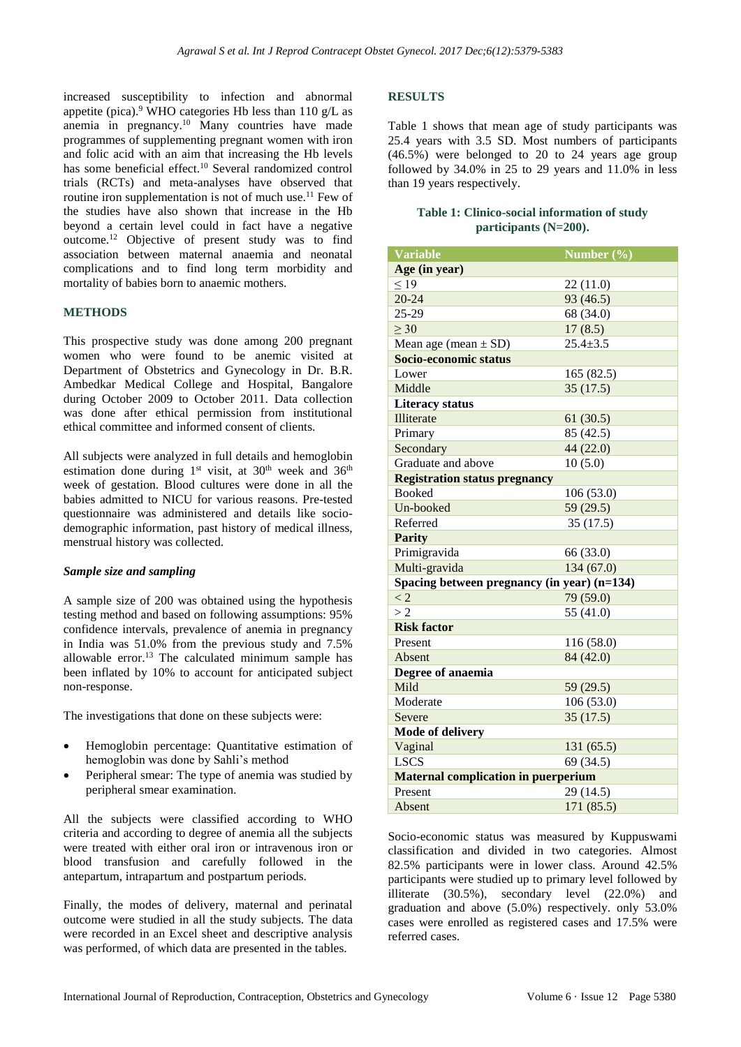increased susceptibility to infection and abnormal appetite (pica).<sup>9</sup> WHO categories Hb less than 110 g/L as anemia in pregnancy. <sup>10</sup> Many countries have made programmes of supplementing pregnant women with iron and folic acid with an aim that increasing the Hb levels has some beneficial effect.<sup>10</sup> Several randomized control trials (RCTs) and meta-analyses have observed that routine iron supplementation is not of much use.<sup>11</sup> Few of the studies have also shown that increase in the Hb beyond a certain level could in fact have a negative outcome.<sup>12</sup> Objective of present study was to find association between maternal anaemia and neonatal complications and to find long term morbidity and mortality of babies born to anaemic mothers.

#### **METHODS**

This prospective study was done among 200 pregnant women who were found to be anemic visited at Department of Obstetrics and Gynecology in Dr. B.R. Ambedkar Medical College and Hospital, Bangalore during October 2009 to October 2011. Data collection was done after ethical permission from institutional ethical committee and informed consent of clients.

All subjects were analyzed in full details and hemoglobin estimation done during  $1<sup>st</sup>$  visit, at  $30<sup>th</sup>$  week and  $36<sup>th</sup>$ week of gestation. Blood cultures were done in all the babies admitted to NICU for various reasons. Pre-tested questionnaire was administered and details like sociodemographic information, past history of medical illness, menstrual history was collected.

#### *Sample size and sampling*

A sample size of 200 was obtained using the hypothesis testing method and based on following assumptions: 95% confidence intervals, prevalence of anemia in pregnancy in India was 51.0% from the previous study and 7.5% allowable error.<sup>13</sup> The calculated minimum sample has been inflated by 10% to account for anticipated subject non-response.

The investigations that done on these subjects were:

- Hemoglobin percentage: Quantitative estimation of hemoglobin was done by Sahli's method
- Peripheral smear: The type of anemia was studied by peripheral smear examination.

All the subjects were classified according to WHO criteria and according to degree of anemia all the subjects were treated with either oral iron or intravenous iron or blood transfusion and carefully followed in the antepartum, intrapartum and postpartum periods.

Finally, the modes of delivery, maternal and perinatal outcome were studied in all the study subjects. The data were recorded in an Excel sheet and descriptive analysis was performed, of which data are presented in the tables.

### **RESULTS**

Table 1 shows that mean age of study participants was 25.4 years with 3.5 SD. Most numbers of participants (46.5%) were belonged to 20 to 24 years age group followed by 34.0% in 25 to 29 years and 11.0% in less than 19 years respectively.

#### **Table 1: Clinico-social information of study participants (N=200).**

| <b>Variable</b><br>Number $(\% )$<br>Age (in year) |  |  |  |  |  |
|----------------------------------------------------|--|--|--|--|--|
|                                                    |  |  |  |  |  |
|                                                    |  |  |  |  |  |
| $\leq$ 19<br>22(11.0)                              |  |  |  |  |  |
| $20 - 24$<br>93 (46.5)                             |  |  |  |  |  |
| 25-29<br>68 (34.0)                                 |  |  |  |  |  |
| $\geq 30$<br>17(8.5)                               |  |  |  |  |  |
| Mean age (mean $\pm$ SD)<br>$25.4 \pm 3.5$         |  |  |  |  |  |
| Socio-economic status                              |  |  |  |  |  |
| Lower<br>165(82.5)                                 |  |  |  |  |  |
| Middle<br>35(17.5)                                 |  |  |  |  |  |
| <b>Literacy status</b>                             |  |  |  |  |  |
| Illiterate<br>61(30.5)                             |  |  |  |  |  |
| Primary<br>85 (42.5)                               |  |  |  |  |  |
| Secondary<br>44 (22.0)                             |  |  |  |  |  |
| Graduate and above<br>10(5.0)                      |  |  |  |  |  |
| <b>Registration status pregnancy</b>               |  |  |  |  |  |
| <b>Booked</b><br>106(53.0)                         |  |  |  |  |  |
| Un-booked<br>59 (29.5)                             |  |  |  |  |  |
| Referred<br>35(17.5)                               |  |  |  |  |  |
| <b>Parity</b>                                      |  |  |  |  |  |
| Primigravida<br>66 (33.0)                          |  |  |  |  |  |
| Multi-gravida<br>134(67.0)                         |  |  |  |  |  |
| Spacing between pregnancy (in year) (n=134)        |  |  |  |  |  |
| $\lt 2$<br>79 (59.0)                               |  |  |  |  |  |
| 55 (41.0)<br>>2                                    |  |  |  |  |  |
| <b>Risk factor</b>                                 |  |  |  |  |  |
| Present<br>116 (58.0)                              |  |  |  |  |  |
| 84 (42.0)<br>Absent                                |  |  |  |  |  |
| Degree of anaemia                                  |  |  |  |  |  |
| Mild<br>59 (29.5)                                  |  |  |  |  |  |
| Moderate<br>106(53.0)                              |  |  |  |  |  |
| 35(17.5)<br>Severe                                 |  |  |  |  |  |
| <b>Mode of delivery</b>                            |  |  |  |  |  |
| Vaginal<br>131 (65.5)                              |  |  |  |  |  |
| <b>LSCS</b><br>69 (34.5)                           |  |  |  |  |  |
| <b>Maternal complication in puerperium</b>         |  |  |  |  |  |
| Present<br>29 (14.5)                               |  |  |  |  |  |
| 171 (85.5)<br>Absent                               |  |  |  |  |  |

Socio-economic status was measured by Kuppuswami classification and divided in two categories. Almost 82.5% participants were in lower class. Around 42.5% participants were studied up to primary level followed by illiterate (30.5%), secondary level (22.0%) and graduation and above (5.0%) respectively. only 53.0% cases were enrolled as registered cases and 17.5% were referred cases.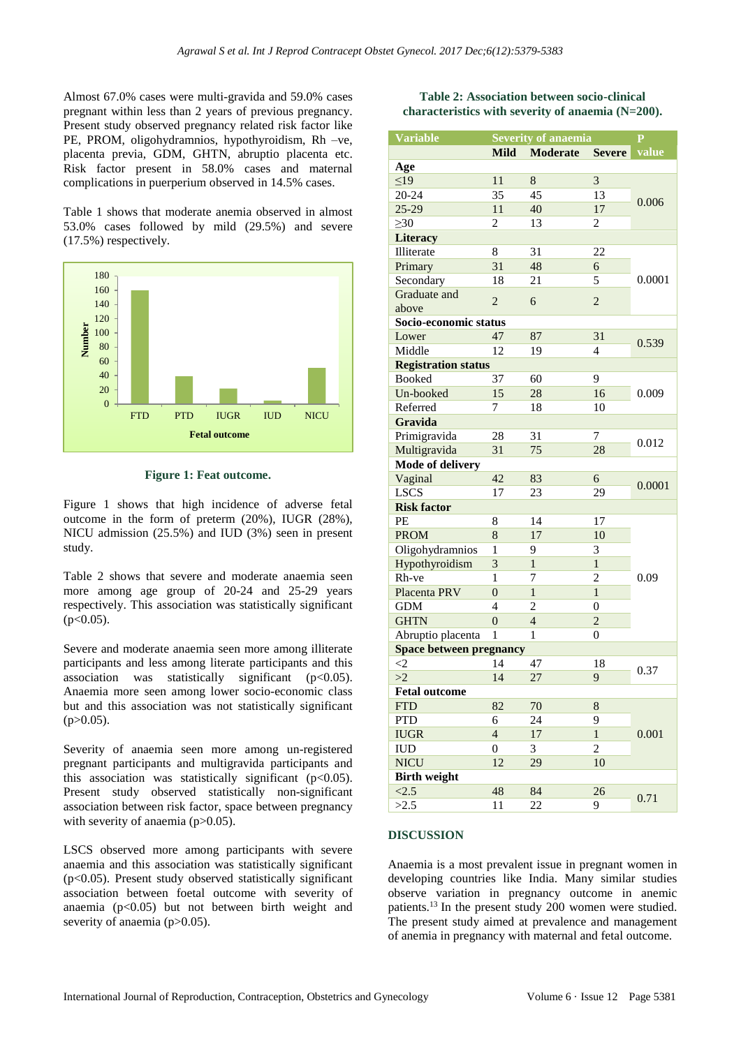Almost 67.0% cases were multi-gravida and 59.0% cases pregnant within less than 2 years of previous pregnancy. Present study observed pregnancy related risk factor like PE, PROM, oligohydramnios, hypothyroidism, Rh –ve, placenta previa, GDM, GHTN, abruptio placenta etc. Risk factor present in 58.0% cases and maternal complications in puerperium observed in 14.5% cases.

Table 1 shows that moderate anemia observed in almost 53.0% cases followed by mild (29.5%) and severe (17.5%) respectively.



**Figure 1: Feat outcome.**

Figure 1 shows that high incidence of adverse fetal outcome in the form of preterm (20%), IUGR (28%), NICU admission (25.5%) and IUD (3%) seen in present study.

Table 2 shows that severe and moderate anaemia seen more among age group of 20-24 and 25-29 years respectively. This association was statistically significant  $(p<0.05)$ .

Severe and moderate anaemia seen more among illiterate participants and less among literate participants and this association was statistically significant  $(p<0.05)$ . Anaemia more seen among lower socio-economic class but and this association was not statistically significant  $(p>0.05)$ .

Severity of anaemia seen more among un-registered pregnant participants and multigravida participants and this association was statistically significant  $(p<0.05)$ . Present study observed statistically non-significant association between risk factor, space between pregnancy with severity of anaemia  $(p>0.05)$ .

LSCS observed more among participants with severe anaemia and this association was statistically significant  $(p<0.05)$ . Present study observed statistically significant association between foetal outcome with severity of anaemia  $(p<0.05)$  but not between birth weight and severity of anaemia (p>0.05).

#### **Table 2: Association between socio-clinical characteristics with severity of anaemia (N=200).**

| <b>Variable</b>                | <b>Severity of anaemia</b> |                 |                | $\overline{\mathbf{P}}$ |  |
|--------------------------------|----------------------------|-----------------|----------------|-------------------------|--|
|                                | <b>Mild</b>                | <b>Moderate</b> | <b>Severe</b>  | value                   |  |
| Age                            |                            |                 |                |                         |  |
| $\leq$ 19                      | 11                         | $\,8\,$         | 3              | 0.006                   |  |
| $20 - 24$                      | 35                         | 45              | 13             |                         |  |
| $25-29$                        | 11                         | 40              | 17             |                         |  |
| $\geq 30$                      | 2                          | 13              | 2              |                         |  |
| <b>Literacy</b>                |                            |                 |                |                         |  |
| Illiterate                     | 8                          | 31              | 22             | 0.0001                  |  |
| Primary                        | 31                         | 48              | 6              |                         |  |
| Secondary                      | 18                         | 21              | 5              |                         |  |
| Graduate and                   |                            |                 |                |                         |  |
| above                          | $\overline{2}$             | 6               | $\overline{2}$ |                         |  |
| Socio-economic status          |                            |                 |                |                         |  |
| Lower                          | 47                         | 87              | 31             |                         |  |
| Middle                         | 12                         | 19              | 4              | 0.539                   |  |
| <b>Registration status</b>     |                            |                 |                |                         |  |
| <b>Booked</b>                  | 37                         | 60              | 9              | 0.009                   |  |
| Un-booked                      | 15                         | 28              | 16             |                         |  |
| Referred                       | 7                          | 18              | 10             |                         |  |
| Gravida                        |                            |                 |                |                         |  |
| Primigravida                   | 28                         | 31              | 7              |                         |  |
| Multigravida                   | 31                         | 75              | 28             | 0.012                   |  |
| <b>Mode of delivery</b>        |                            |                 |                |                         |  |
| Vaginal                        | 42                         | 83              | 6              | 0.0001                  |  |
| <b>LSCS</b>                    | 17                         | 23              | 29             |                         |  |
| <b>Risk factor</b>             |                            |                 |                |                         |  |
| PE                             | 8                          | 14              | 17             | 0.09                    |  |
| <b>PROM</b>                    | 8                          | 17              | 10             |                         |  |
| Oligohydramnios                | 1                          | 9               | 3              |                         |  |
| Hypothyroidism                 | 3                          | 1               | 1              |                         |  |
| Rh-ve                          | 1                          | 7               | $\overline{c}$ |                         |  |
| Placenta PRV                   | $\overline{0}$             | $\mathbf{1}$    | $\mathbf{1}$   |                         |  |
| <b>GDM</b>                     | 4                          | 2               | 0              |                         |  |
| <b>GHTN</b>                    | $\overline{0}$             | $\overline{4}$  | $\overline{c}$ |                         |  |
| Abruptio placenta              | $\mathbf{1}$               | 1               | $\theta$       |                         |  |
| <b>Space between pregnancy</b> |                            |                 |                |                         |  |
| $\leq$ 2                       | 14                         | 47              | 18             | 0.37                    |  |
| >2                             | 14                         | 27              | 9              |                         |  |
| <b>Fetal outcome</b>           |                            |                 |                |                         |  |
| <b>FTD</b>                     | 82                         | 70              | 8              |                         |  |
| <b>PTD</b>                     | 6                          | 24              | 9              | 0.001                   |  |
| <b>IUGR</b>                    | $\overline{4}$             | 17              | $\mathbf{1}$   |                         |  |
| <b>IUD</b>                     | $\boldsymbol{0}$           | 3               | $\overline{c}$ |                         |  |
| <b>NICU</b>                    | 12                         | 29              | 10             |                         |  |
| <b>Birth weight</b>            |                            |                 |                |                         |  |
| <2.5                           | 48                         | 84              | 26             |                         |  |
| >2.5                           | 11                         | 22              | 9              | 0.71                    |  |

#### **DISCUSSION**

Anaemia is a most prevalent issue in pregnant women in developing countries like India. Many similar studies observe variation in pregnancy outcome in anemic patients. <sup>13</sup> In the present study 200 women were studied. The present study aimed at prevalence and management of anemia in pregnancy with maternal and fetal outcome.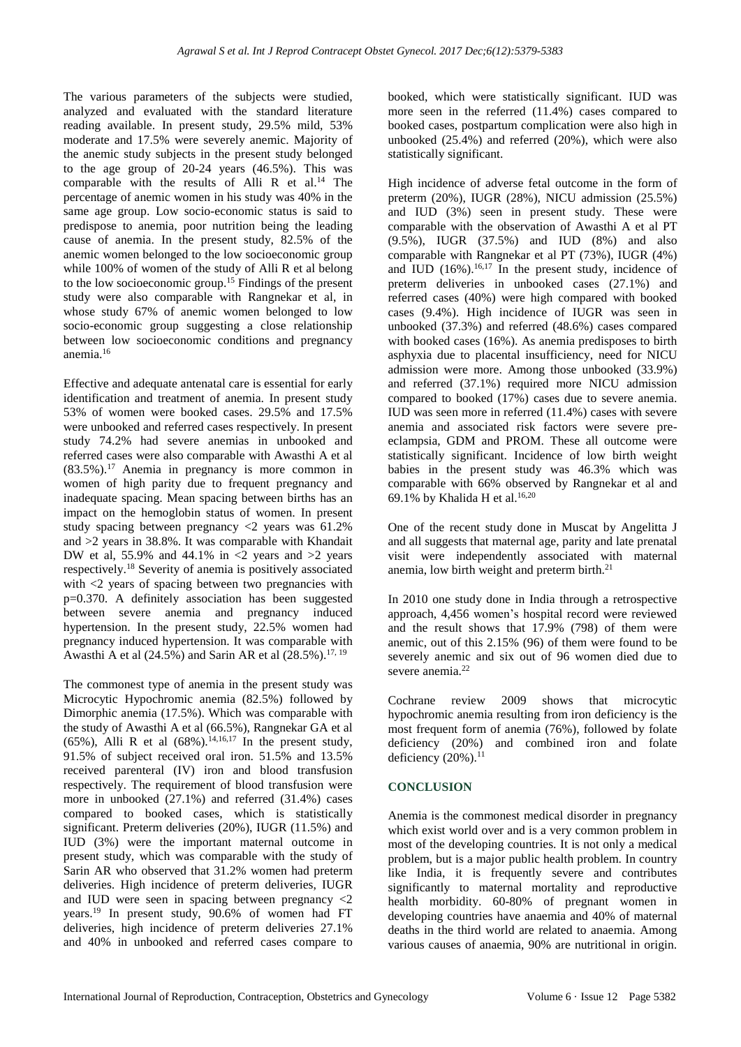The various parameters of the subjects were studied, analyzed and evaluated with the standard literature reading available. In present study, 29.5% mild, 53% moderate and 17.5% were severely anemic. Majority of the anemic study subjects in the present study belonged to the age group of 20-24 years (46.5%). This was comparable with the results of Alli R et al.<sup>14</sup> The percentage of anemic women in his study was 40% in the same age group. Low socio-economic status is said to predispose to anemia, poor nutrition being the leading cause of anemia. In the present study, 82.5% of the anemic women belonged to the low socioeconomic group while 100% of women of the study of Alli R et al belong to the low socioeconomic group.<sup>15</sup> Findings of the present study were also comparable with Rangnekar et al, in whose study 67% of anemic women belonged to low socio-economic group suggesting a close relationship between low socioeconomic conditions and pregnancy anemia.<sup>16</sup>

Effective and adequate antenatal care is essential for early identification and treatment of anemia. In present study 53% of women were booked cases. 29.5% and 17.5% were unbooked and referred cases respectively. In present study 74.2% had severe anemias in unbooked and referred cases were also comparable with Awasthi A et al (83.5%).<sup>17</sup> Anemia in pregnancy is more common in women of high parity due to frequent pregnancy and inadequate spacing. Mean spacing between births has an impact on the hemoglobin status of women. In present study spacing between pregnancy  $\langle 2 \rangle$  years was 61.2% and >2 years in 38.8%. It was comparable with Khandait DW et al. 55.9% and 44.1% in  $\lt 2$  years and  $\gt 2$  years respectively.<sup>18</sup> Severity of anemia is positively associated with <2 years of spacing between two pregnancies with p=0.370. A definitely association has been suggested between severe anemia and pregnancy induced hypertension. In the present study, 22.5% women had pregnancy induced hypertension. It was comparable with Awasthi A et al  $(24.5\%)$  and Sarin AR et al  $(28.5\%)$ .<sup>17, 19</sup>

The commonest type of anemia in the present study was Microcytic Hypochromic anemia (82.5%) followed by Dimorphic anemia (17.5%). Which was comparable with the study of Awasthi A et al (66.5%), Rangnekar GA et al (65%), Alli R et al  $(68\%)$ .<sup>14,16,17</sup> In the present study, 91.5% of subject received oral iron. 51.5% and 13.5% received parenteral (IV) iron and blood transfusion respectively. The requirement of blood transfusion were more in unbooked (27.1%) and referred (31.4%) cases compared to booked cases, which is statistically significant. Preterm deliveries (20%), IUGR (11.5%) and IUD (3%) were the important maternal outcome in present study, which was comparable with the study of Sarin AR who observed that 31.2% women had preterm deliveries. High incidence of preterm deliveries, IUGR and IUD were seen in spacing between pregnancy <2 years.<sup>19</sup> In present study, 90.6% of women had FT deliveries, high incidence of preterm deliveries 27.1% and 40% in unbooked and referred cases compare to booked, which were statistically significant. IUD was more seen in the referred (11.4%) cases compared to booked cases, postpartum complication were also high in unbooked (25.4%) and referred (20%), which were also statistically significant.

High incidence of adverse fetal outcome in the form of preterm (20%), IUGR (28%), NICU admission (25.5%) and IUD (3%) seen in present study. These were comparable with the observation of Awasthi A et al PT (9.5%), IUGR (37.5%) and IUD (8%) and also comparable with Rangnekar et al PT (73%), IUGR (4%) and IUD  $(16\%)$ , <sup>16,17</sup> In the present study, incidence of preterm deliveries in unbooked cases (27.1%) and referred cases (40%) were high compared with booked cases (9.4%). High incidence of IUGR was seen in unbooked (37.3%) and referred (48.6%) cases compared with booked cases (16%). As anemia predisposes to birth asphyxia due to placental insufficiency, need for NICU admission were more. Among those unbooked (33.9%) and referred (37.1%) required more NICU admission compared to booked (17%) cases due to severe anemia. IUD was seen more in referred (11.4%) cases with severe anemia and associated risk factors were severe preeclampsia, GDM and PROM. These all outcome were statistically significant. Incidence of low birth weight babies in the present study was 46.3% which was comparable with 66% observed by Rangnekar et al and 69.1% by Khalida H et al. $16,20$ 

One of the recent study done in Muscat by Angelitta J and all suggests that maternal age, parity and late prenatal visit were independently associated with maternal anemia, low birth weight and preterm birth. 21

In 2010 one study done in India through a retrospective approach, 4,456 women's hospital record were reviewed and the result shows that 17.9% (798) of them were anemic, out of this 2.15% (96) of them were found to be severely anemic and six out of 96 women died due to severe anemia.<sup>22</sup>

Cochrane review 2009 shows that microcytic hypochromic anemia resulting from iron deficiency is the most frequent form of anemia (76%), followed by folate deficiency (20%) and combined iron and folate deficiency  $(20\%)$ .<sup>11</sup>

## **CONCLUSION**

Anemia is the commonest medical disorder in pregnancy which exist world over and is a very common problem in most of the developing countries. It is not only a medical problem, but is a major public health problem. In country like India, it is frequently severe and contributes significantly to maternal mortality and reproductive health morbidity. 60-80% of pregnant women in developing countries have anaemia and 40% of maternal deaths in the third world are related to anaemia. Among various causes of anaemia, 90% are nutritional in origin.